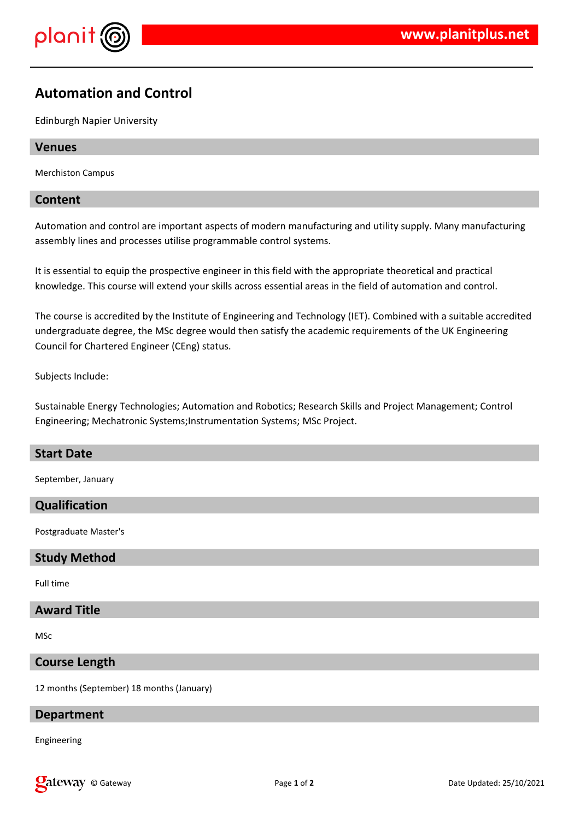

# **Automation and Control**

Edinburgh Napier University

#### **Venues**

Merchiston Campus

#### **Content**

Automation and control are important aspects of modern manufacturing and utility supply. Many manufacturing assembly lines and processes utilise programmable control systems.

It is essential to equip the prospective engineer in this field with the appropriate theoretical and practical knowledge. This course will extend your skills across essential areas in the field of automation and control.

The course is accredited by the Institute of Engineering and Technology (IET). Combined with a suitable accredited undergraduate degree, the MSc degree would then satisfy the academic requirements of the UK Engineering Council for Chartered Engineer (CEng) status.

Subjects Include:

Sustainable Energy Technologies; Automation and Robotics; Research Skills and Project Management; Control Engineering; Mechatronic Systems;Instrumentation Systems; MSc Project.

#### **Start Date**

September, January

#### **Qualification**

Postgraduate Master's

#### **Study Method**

Full time

#### **Award Title**

MSc

#### **Course Length**

12 months (September) 18 months (January)

#### **Department**

Engineering